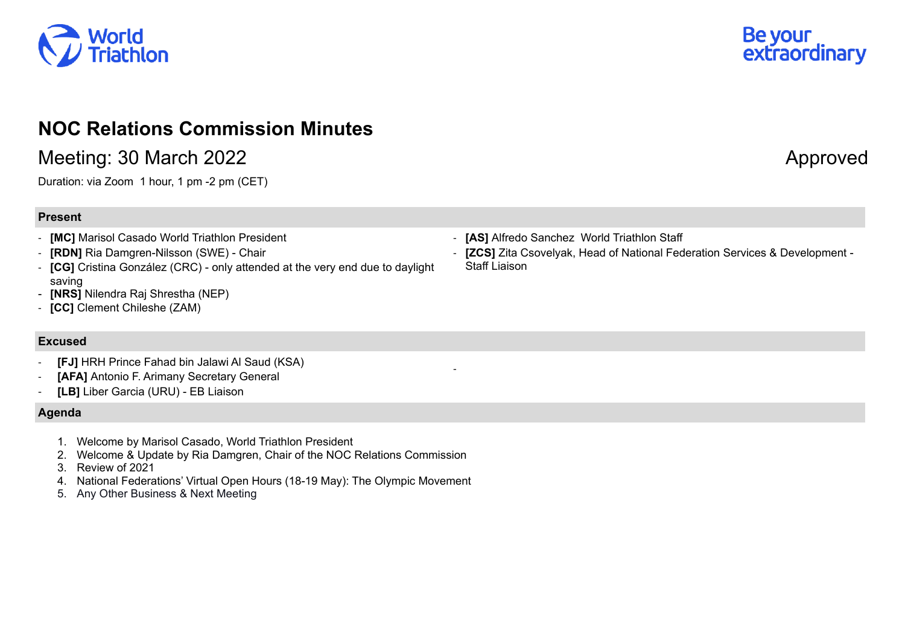

# **NOC Relations Commission Minutes**

## Meeting: 30 March 2022 **Approved**

Duration: via Zoom 1 hour, 1 pm -2 pm (CET)

### **Present**

- **[MC]** Marisol Casado World Triathlon President
- **[RDN]** Ria Damgren-Nilsson (SWE) Chair
- **[CG]** Cristina González (CRC) only attended at the very end due to daylight saving
- **[NRS]** Nilendra Raj Shrestha (NEP)
- **[CC]** Clement Chileshe (ZAM)

#### **Excused**

- **[FJ]** HRH Prince Fahad bin Jalawi Al Saud (KSA)
- [AFA] Antonio F. Arimany Secretary General
- **[LB]** Liber Garcia (URU) EB Liaison

#### **Agenda**

- 1. Welcome by Marisol Casado, World Triathlon President
- 2. Welcome & Update by Ria Damgren, Chair of the NOC Relations Commission
- 3. Review of 2021
- 4. National Federations' Virtual Open Hours (18-19 May): The Olympic Movement
- 5. Any Other Business & Next Meeting

- **[AS]** Alfredo Sanchez World Triathlon Staff

-

- **[ZCS]** Zita Csovelyak, Head of National Federation Services & Development - Staff Liaison

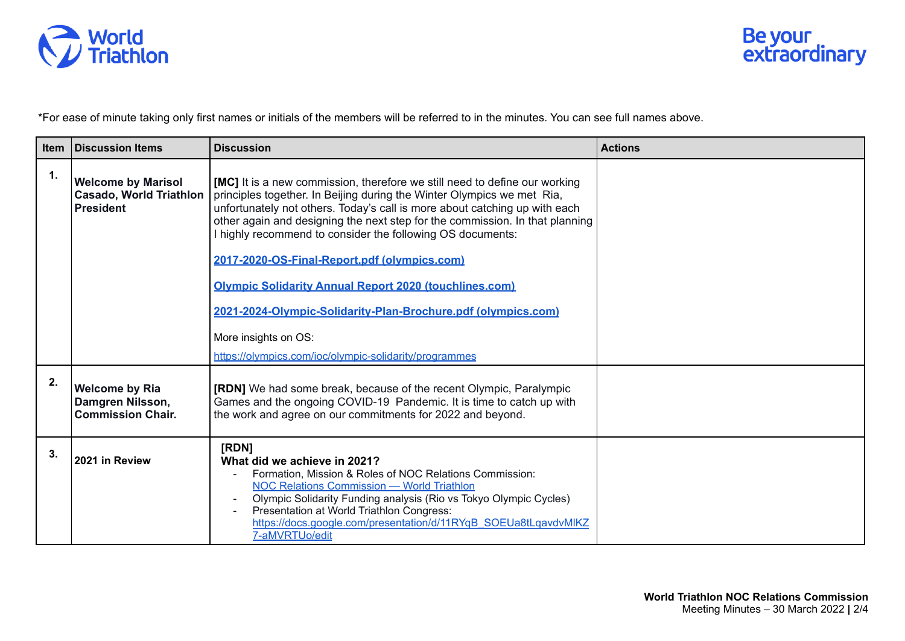

\*For ease of minute taking only first names or initials of the members will be referred to in the minutes. You can see full names above.

| <b>Item</b> | <b>IDiscussion Items</b>                                                        | <b>Discussion</b>                                                                                                                                                                                                                                                                                                                                                                                                                                                                                                                                                                                                                                           | <b>Actions</b> |
|-------------|---------------------------------------------------------------------------------|-------------------------------------------------------------------------------------------------------------------------------------------------------------------------------------------------------------------------------------------------------------------------------------------------------------------------------------------------------------------------------------------------------------------------------------------------------------------------------------------------------------------------------------------------------------------------------------------------------------------------------------------------------------|----------------|
| 1.          | <b>Welcome by Marisol</b><br><b>Casado, World Triathlon</b><br><b>President</b> | <b>[MC]</b> It is a new commission, therefore we still need to define our working<br>principles together. In Beijing during the Winter Olympics we met Ria,<br>unfortunately not others. Today's call is more about catching up with each<br>other again and designing the next step for the commission. In that planning<br>I highly recommend to consider the following OS documents:<br>2017-2020-OS-Final-Report.pdf (olympics.com)<br><b>Olympic Solidarity Annual Report 2020 (touchlines.com)</b><br>2021-2024-Olympic-Solidarity-Plan-Brochure.pdf (olympics.com)<br>More insights on OS:<br>https://olympics.com/ioc/olympic-solidarity/programmes |                |
| 2.          | <b>Welcome by Ria</b><br>Damgren Nilsson,<br><b>Commission Chair.</b>           | <b>[RDN]</b> We had some break, because of the recent Olympic, Paralympic<br>Games and the ongoing COVID-19 Pandemic. It is time to catch up with<br>the work and agree on our commitments for 2022 and beyond.                                                                                                                                                                                                                                                                                                                                                                                                                                             |                |
| 3.          | 2021 in Review                                                                  | [RDN]<br>What did we achieve in 2021?<br>Formation, Mission & Roles of NOC Relations Commission:<br><b>NOC Relations Commission - World Triathlon</b><br>Olympic Solidarity Funding analysis (Rio vs Tokyo Olympic Cycles)<br>Presentation at World Triathlon Congress:<br>https://docs.google.com/presentation/d/11RYqB SOEUa8tLqavdvMIKZ<br>7-aMVRTUo/edit                                                                                                                                                                                                                                                                                                |                |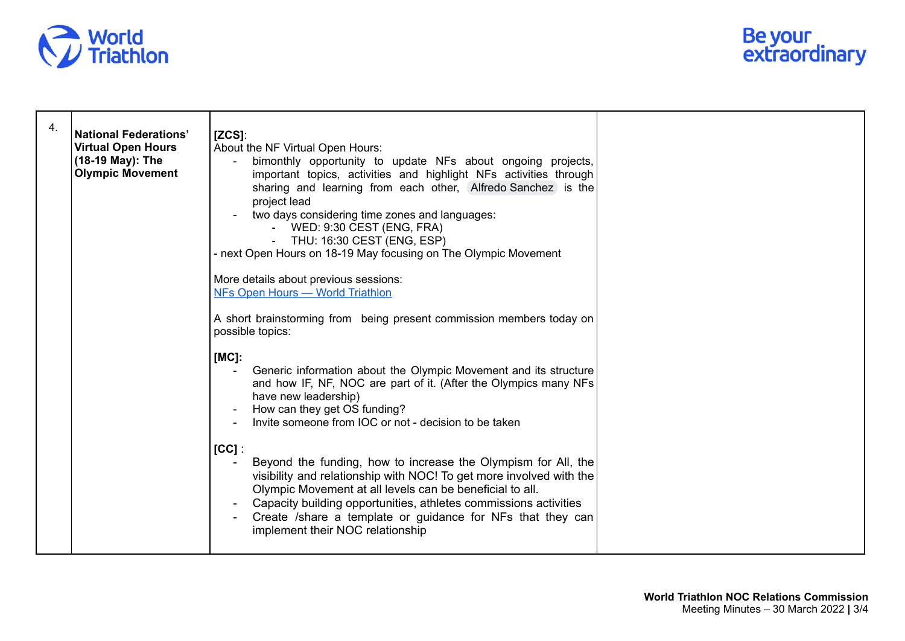

| 4. | <b>National Federations'</b><br><b>Virtual Open Hours</b><br>(18-19 May): The<br><b>Olympic Movement</b> | $[ZCS]$ :<br>About the NF Virtual Open Hours:<br>bimonthly opportunity to update NFs about ongoing projects,<br>important topics, activities and highlight NFs activities through<br>sharing and learning from each other, Alfredo Sanchez is the<br>project lead<br>two days considering time zones and languages:<br>- WED: 9:30 CEST (ENG, FRA)<br>- THU: 16:30 CEST (ENG, ESP)<br>- next Open Hours on 18-19 May focusing on The Olympic Movement<br>More details about previous sessions:<br>NFs Open Hours - World Triathlon<br>A short brainstorming from being present commission members today on                                                                  |
|----|----------------------------------------------------------------------------------------------------------|-----------------------------------------------------------------------------------------------------------------------------------------------------------------------------------------------------------------------------------------------------------------------------------------------------------------------------------------------------------------------------------------------------------------------------------------------------------------------------------------------------------------------------------------------------------------------------------------------------------------------------------------------------------------------------|
|    |                                                                                                          | possible topics:<br>$[MC]$ :<br>Generic information about the Olympic Movement and its structure<br>and how IF, NF, NOC are part of it. (After the Olympics many NFs<br>have new leadership)<br>How can they get OS funding?<br>Invite someone from IOC or not - decision to be taken<br>$[CC]$ :<br>Beyond the funding, how to increase the Olympism for All, the<br>visibility and relationship with NOC! To get more involved with the<br>Olympic Movement at all levels can be beneficial to all.<br>Capacity building opportunities, athletes commissions activities<br>Create /share a template or guidance for NFs that they can<br>implement their NOC relationship |